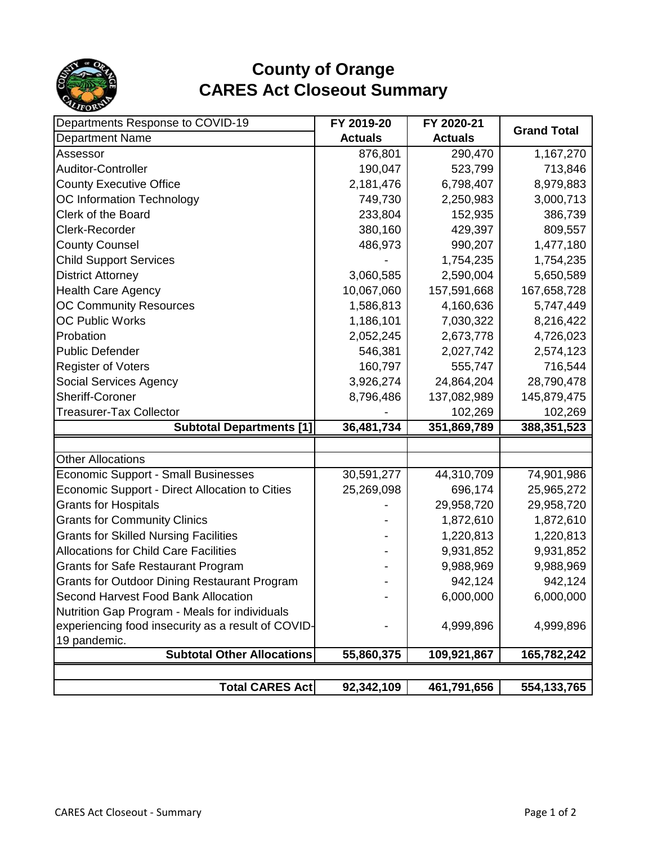

## **County of Orange CARES Act Closeout Summary**

| Departments Response to COVID-19                      | FY 2019-20     | FY 2020-21     |                    |
|-------------------------------------------------------|----------------|----------------|--------------------|
| <b>Department Name</b>                                | <b>Actuals</b> | <b>Actuals</b> | <b>Grand Total</b> |
| Assessor                                              | 876,801        | 290,470        | 1,167,270          |
| Auditor-Controller                                    | 190,047        | 523,799        | 713,846            |
| <b>County Executive Office</b>                        | 2,181,476      | 6,798,407      | 8,979,883          |
| OC Information Technology                             | 749,730        | 2,250,983      | 3,000,713          |
| Clerk of the Board                                    | 233,804        | 152,935        | 386,739            |
| Clerk-Recorder                                        | 380,160        | 429,397        | 809,557            |
| <b>County Counsel</b>                                 | 486,973        | 990,207        | 1,477,180          |
| <b>Child Support Services</b>                         |                | 1,754,235      | 1,754,235          |
| <b>District Attorney</b>                              | 3,060,585      | 2,590,004      | 5,650,589          |
| <b>Health Care Agency</b>                             | 10,067,060     | 157,591,668    | 167,658,728        |
| <b>OC Community Resources</b>                         | 1,586,813      | 4,160,636      | 5,747,449          |
| <b>OC Public Works</b>                                | 1,186,101      | 7,030,322      | 8,216,422          |
| Probation                                             | 2,052,245      | 2,673,778      | 4,726,023          |
| <b>Public Defender</b>                                | 546,381        | 2,027,742      | 2,574,123          |
| <b>Register of Voters</b>                             | 160,797        | 555,747        | 716,544            |
| <b>Social Services Agency</b>                         | 3,926,274      | 24,864,204     | 28,790,478         |
| <b>Sheriff-Coroner</b>                                | 8,796,486      | 137,082,989    | 145,879,475        |
| <b>Treasurer-Tax Collector</b>                        |                | 102,269        | 102,269            |
| <b>Subtotal Departments [1]</b>                       | 36,481,734     | 351,869,789    | 388,351,523        |
|                                                       |                |                |                    |
| <b>Other Allocations</b>                              |                |                |                    |
| <b>Economic Support - Small Businesses</b>            | 30,591,277     | 44,310,709     | 74,901,986         |
| <b>Economic Support - Direct Allocation to Cities</b> | 25,269,098     | 696,174        | 25,965,272         |
| <b>Grants for Hospitals</b>                           |                | 29,958,720     | 29,958,720         |
| <b>Grants for Community Clinics</b>                   |                | 1,872,610      | 1,872,610          |
| <b>Grants for Skilled Nursing Facilities</b>          |                | 1,220,813      | 1,220,813          |
| <b>Allocations for Child Care Facilities</b>          |                | 9,931,852      | 9,931,852          |
| <b>Grants for Safe Restaurant Program</b>             |                | 9,988,969      | 9,988,969          |
| <b>Grants for Outdoor Dining Restaurant Program</b>   |                | 942,124        | 942,124            |
| Second Harvest Food Bank Allocation                   |                | 6,000,000      | 6,000,000          |
| Nutrition Gap Program - Meals for individuals         |                |                |                    |
| experiencing food insecurity as a result of COVID-    |                | 4,999,896      | 4,999,896          |
| 19 pandemic.                                          |                |                |                    |
| <b>Subtotal Other Allocations</b>                     | 55,860,375     | 109,921,867    | 165,782,242        |
|                                                       |                |                |                    |
| <b>Total CARES Act</b>                                | 92,342,109     | 461,791,656    | 554, 133, 765      |